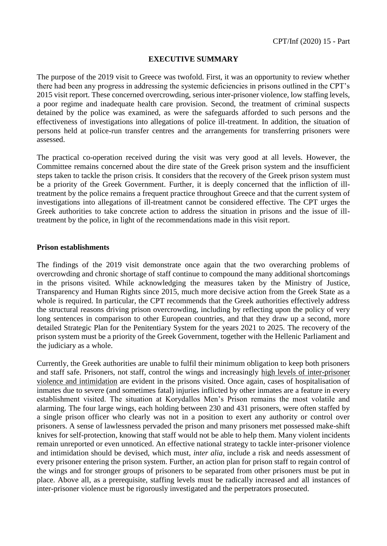## **EXECUTIVE SUMMARY**

The purpose of the 2019 visit to Greece was twofold. First, it was an opportunity to review whether there had been any progress in addressing the systemic deficiencies in prisons outlined in the CPT's 2015 visit report. These concerned overcrowding, serious inter-prisoner violence, low staffing levels, a poor regime and inadequate health care provision. Second, the treatment of criminal suspects detained by the police was examined, as were the safeguards afforded to such persons and the effectiveness of investigations into allegations of police ill-treatment. In addition, the situation of persons held at police-run transfer centres and the arrangements for transferring prisoners were assessed.

The practical co-operation received during the visit was very good at all levels. However, the Committee remains concerned about the dire state of the Greek prison system and the insufficient steps taken to tackle the prison crisis. It considers that the recovery of the Greek prison system must be a priority of the Greek Government. Further, it is deeply concerned that the infliction of illtreatment by the police remains a frequent practice throughout Greece and that the current system of investigations into allegations of ill-treatment cannot be considered effective. The CPT urges the Greek authorities to take concrete action to address the situation in prisons and the issue of illtreatment by the police, in light of the recommendations made in this visit report.

## **Prison establishments**

The findings of the 2019 visit demonstrate once again that the two overarching problems of overcrowding and chronic shortage of staff continue to compound the many additional shortcomings in the prisons visited. While acknowledging the measures taken by the Ministry of Justice, Transparency and Human Rights since 2015, much more decisive action from the Greek State as a whole is required. In particular, the CPT recommends that the Greek authorities effectively address the structural reasons driving prison overcrowding, including by reflecting upon the policy of very long sentences in comparison to other European countries, and that they draw up a second, more detailed Strategic Plan for the Penitentiary System for the years 2021 to 2025. The recovery of the prison system must be a priority of the Greek Government, together with the Hellenic Parliament and the judiciary as a whole.

Currently, the Greek authorities are unable to fulfil their minimum obligation to keep both prisoners and staff safe. Prisoners, not staff, control the wings and increasingly high levels of inter-prisoner violence and intimidation are evident in the prisons visited. Once again, cases of hospitalisation of inmates due to severe (and sometimes fatal) injuries inflicted by other inmates are a feature in every establishment visited. The situation at Korydallos Men's Prison remains the most volatile and alarming. The four large wings, each holding between 230 and 431 prisoners, were often staffed by a single prison officer who clearly was not in a position to exert any authority or control over prisoners. A sense of lawlessness pervaded the prison and many prisoners met possessed make-shift knives for self-protection, knowing that staff would not be able to help them. Many violent incidents remain unreported or even unnoticed. An effective national strategy to tackle inter-prisoner violence and intimidation should be devised, which must, *inter alia*, include a risk and needs assessment of every prisoner entering the prison system. Further, an action plan for prison staff to regain control of the wings and for stronger groups of prisoners to be separated from other prisoners must be put in place. Above all, as a prerequisite, staffing levels must be radically increased and all instances of inter-prisoner violence must be rigorously investigated and the perpetrators prosecuted.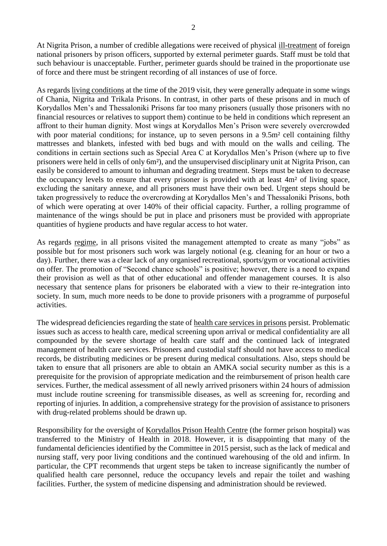At Nigrita Prison, a number of credible allegations were received of physical ill-treatment of foreign national prisoners by prison officers, supported by external perimeter guards. Staff must be told that such behaviour is unacceptable. Further, perimeter guards should be trained in the proportionate use of force and there must be stringent recording of all instances of use of force.

As regards living conditions at the time of the 2019 visit, they were generally adequate in some wings of Chania, Nigrita and Trikala Prisons. In contrast, in other parts of these prisons and in much of Korydallos Men's and Thessaloniki Prisons far too many prisoners (usually those prisoners with no financial resources or relatives to support them) continue to be held in conditions which represent an affront to their human dignity. Most wings at Korydallos Men's Prison were severely overcrowded with poor material conditions; for instance, up to seven persons in a 9.5m<sup>2</sup> cell containing filthy mattresses and blankets, infested with bed bugs and with mould on the walls and ceiling. The conditions in certain sections such as Special Area C at Korydallos Men's Prison (where up to five prisoners were held in cells of only 6m²), and the unsupervised disciplinary unit at Nigrita Prison, can easily be considered to amount to inhuman and degrading treatment. Steps must be taken to decrease the occupancy levels to ensure that every prisoner is provided with at least 4m² of living space, excluding the sanitary annexe, and all prisoners must have their own bed. Urgent steps should be taken progressively to reduce the overcrowding at Korydallos Men's and Thessaloniki Prisons, both of which were operating at over 140% of their official capacity. Further, a rolling programme of maintenance of the wings should be put in place and prisoners must be provided with appropriate quantities of hygiene products and have regular access to hot water.

As regards regime, in all prisons visited the management attempted to create as many "jobs" as possible but for most prisoners such work was largely notional (e.g. cleaning for an hour or two a day). Further, there was a clear lack of any organised recreational, sports/gym or vocational activities on offer. The promotion of "Second chance schools" is positive; however, there is a need to expand their provision as well as that of other educational and offender management courses. It is also necessary that sentence plans for prisoners be elaborated with a view to their re-integration into society. In sum, much more needs to be done to provide prisoners with a programme of purposeful activities.

The widespread deficiencies regarding the state of health care services in prisons persist. Problematic issues such as access to health care, medical screening upon arrival or medical confidentiality are all compounded by the severe shortage of health care staff and the continued lack of integrated management of health care services. Prisoners and custodial staff should not have access to medical records, be distributing medicines or be present during medical consultations. Also, steps should be taken to ensure that all prisoners are able to obtain an AMKA social security number as this is a prerequisite for the provision of appropriate medication and the reimbursement of prison health care services. Further, the medical assessment of all newly arrived prisoners within 24 hours of admission must include routine screening for transmissible diseases, as well as screening for, recording and reporting of injuries. In addition, a comprehensive strategy for the provision of assistance to prisoners with drug-related problems should be drawn up.

Responsibility for the oversight of Korydallos Prison Health Centre (the former prison hospital) was transferred to the Ministry of Health in 2018. However, it is disappointing that many of the fundamental deficiencies identified by the Committee in 2015 persist, such as the lack of medical and nursing staff, very poor living conditions and the continued warehousing of the old and infirm. In particular, the CPT recommends that urgent steps be taken to increase significantly the number of qualified health care personnel, reduce the occupancy levels and repair the toilet and washing facilities. Further, the system of medicine dispensing and administration should be reviewed.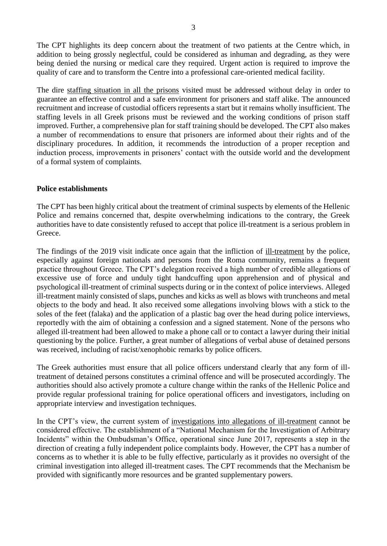The CPT highlights its deep concern about the treatment of two patients at the Centre which, in addition to being grossly neglectful, could be considered as inhuman and degrading, as they were being denied the nursing or medical care they required. Urgent action is required to improve the quality of care and to transform the Centre into a professional care-oriented medical facility.

The dire staffing situation in all the prisons visited must be addressed without delay in order to guarantee an effective control and a safe environment for prisoners and staff alike. The announced recruitment and increase of custodial officers represents a start but it remains wholly insufficient. The staffing levels in all Greek prisons must be reviewed and the working conditions of prison staff improved. Further, a comprehensive plan for staff training should be developed. The CPT also makes a number of recommendations to ensure that prisoners are informed about their rights and of the disciplinary procedures. In addition, it recommends the introduction of a proper reception and induction process, improvements in prisoners' contact with the outside world and the development of a formal system of complaints.

## **Police establishments**

The CPT has been highly critical about the treatment of criminal suspects by elements of the Hellenic Police and remains concerned that, despite overwhelming indications to the contrary, the Greek authorities have to date consistently refused to accept that police ill-treatment is a serious problem in Greece.

The findings of the 2019 visit indicate once again that the infliction of ill-treatment by the police, especially against foreign nationals and persons from the Roma community, remains a frequent practice throughout Greece. The CPT's delegation received a high number of credible allegations of excessive use of force and unduly tight handcuffing upon apprehension and of physical and psychological ill-treatment of criminal suspects during or in the context of police interviews. Alleged ill-treatment mainly consisted of slaps, punches and kicks as well as blows with truncheons and metal objects to the body and head. It also received some allegations involving blows with a stick to the soles of the feet (falaka) and the application of a plastic bag over the head during police interviews, reportedly with the aim of obtaining a confession and a signed statement. None of the persons who alleged ill-treatment had been allowed to make a phone call or to contact a lawyer during their initial questioning by the police. Further, a great number of allegations of verbal abuse of detained persons was received, including of racist/xenophobic remarks by police officers.

The Greek authorities must ensure that all police officers understand clearly that any form of illtreatment of detained persons constitutes a criminal offence and will be prosecuted accordingly. The authorities should also actively promote a culture change within the ranks of the Hellenic Police and provide regular professional training for police operational officers and investigators, including on appropriate interview and investigation techniques.

In the CPT's view, the current system of investigations into allegations of ill-treatment cannot be considered effective. The establishment of a "National Mechanism for the Investigation of Arbitrary Incidents" within the Ombudsman's Office, operational since June 2017, represents a step in the direction of creating a fully independent police complaints body. However, the CPT has a number of concerns as to whether it is able to be fully effective, particularly as it provides no oversight of the criminal investigation into alleged ill-treatment cases. The CPT recommends that the Mechanism be provided with significantly more resources and be granted supplementary powers.